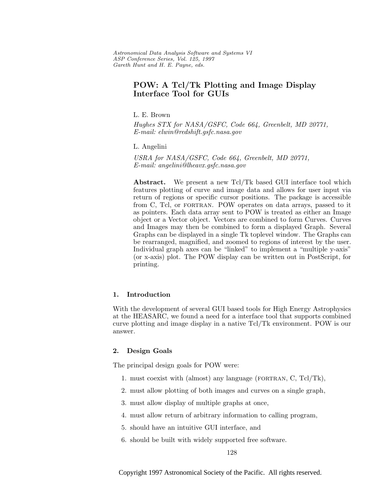Astronomical Data Analysis Software and Systems VI ASP Conference Series, Vol. 125, 1997 Gareth Hunt and H. E. Payne, e ds.

# **POW: A Tcl/Tk Plotting and Image Display Interface Tool for GUIs**

L. E. Brown

Hughes STX for NASA/GSFC, Code 664, Greenbelt, MD 20771, E-mail: elwin@redshift.gsfc.nasa.gov

L. Angelini

USRA for NASA/GSFC, Code 664, Greenbelt, MD 20771, E-mail: angelini@lheavx.gsfc.nasa.gov

**Abstract.** We present a new Tcl/Tk based GUI interface tool which features plotting of curve and image data and allows for user input via return of regions or specific cursor positions. The package is accessible from C, Tcl, or fortran. POW operates on data arrays, passed to it as pointers. Each data array sent to POW is treated as either an Image object or a Vector object. Vectors are combined to form Curves. Curves and Images may then be combined to form a displayed Graph. Several Graphs can be displayed in a single Tk toplevel window. The Graphs can be rearranged, magnified, and zoomed to regions of interest by the user. Individual graph axes can be "linked" to implement a "multiple y-axis" (or x-axis) plot. The POW display can be written out in PostScript, for printing.

## **1. Introduction**

With the development of several GUI based tools for High Energy Astrophysics at the HEASARC, we found a need for a interface tool that supports combined curve plotting and image display in a native Tcl/Tk environment. POW is our answer.

## **2. Design Goals**

The principal design goals for POW were:

- 1. must coexist with (almost) any language (fortran, C, Tcl/Tk),
- 2. must allow plotting of both images and curves on a single graph,
- 3. must allow display of multiple graphs at once,
- 4. must allow return of arbitrary information to calling program,
- 5. should have an intuitive GUI interface, and
- 6. should be built with widely supported free software.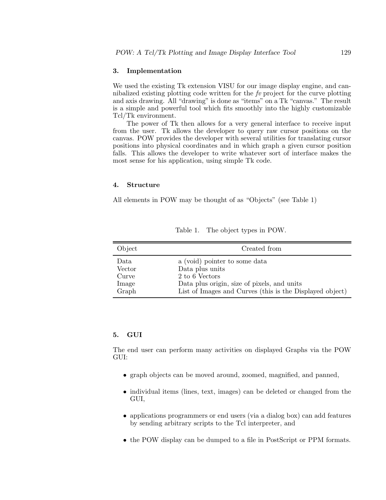## **3. Implementation**

We used the existing Tk extension VISU for our image display engine, and cannibalized existing plotting code written for the  $f\nu$  project for the curve plotting and axis drawing. All "drawing" is done as "items" on a Tk "canvas." The result is a simple and powerful tool which fits smoothly into the highly customizable Tcl/Tk environment.

The power of Tk then allows for a very general interface to receive input from the user. Tk allows the developer to query raw cursor positions on the canvas. POW provides the developer with several utilities for translating cursor positions into physical coordinates and in which graph a given cursor position falls. This allows the developer to write whatever sort of interface makes the most sense for his application, using simple Tk code.

#### **4. Structure**

All elements in POW may be thought of as "Objects" (see Table 1)

| Object | Created from                                             |
|--------|----------------------------------------------------------|
| Data   | a (void) pointer to some data                            |
| Vector | Data plus units                                          |
| Curve  | 2 to 6 Vectors                                           |
| Image  | Data plus origin, size of pixels, and units              |
| Graph  | List of Images and Curves (this is the Displayed object) |

Table 1. The object types in POW.

## **5. GUI**

The end user can perform many activities on displayed Graphs via the POW GUI:

- graph objects can be moved around, zoomed, magnified, and panned,
- individual items (lines, text, images) can be deleted or changed from the GUI,
- applications programmers or end users (via a dialog box) can add features by sending arbitrary scripts to the Tcl interpreter, and
- the POW display can be dumped to a file in PostScript or PPM formats.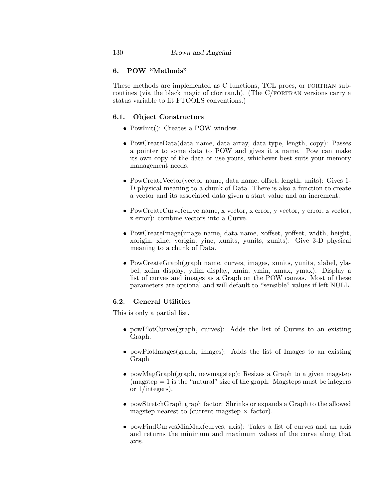## **6. POW "Methods"**

These methods are implemented as C functions, TCL procs, or fortran subroutines (via the black magic of cfortran.h). (The C/FORTRAN versions carry a status variable to fit FTOOLS conventions.)

## **6.1. Object Constructors**

- PowInit(): Creates a POW window.
- PowCreateData(data name, data array, data type, length, copy): Passes a pointer to some data to POW and gives it a name. Pow can make its own copy of the data or use yours, whichever best suits your memory management needs.
- PowCreateVector(vector name, data name, offset, length, units): Gives 1- D physical meaning to a chunk of Data. There is also a function to create a vector and its associated data given a start value and an increment.
- PowCreateCurve(curve name, x vector, x error, y vector, y error, z vector, z error): combine vectors into a Curve.
- PowCreateImage(image name, data name, xoffset, yoffset, width, height, xorigin, xinc, yorigin, yinc, xunits, yunits, zunits): Give 3-D physical meaning to a chunk of Data.
- PowCreateGraph(graph name, curves, images, xunits, yunits, xlabel, ylabel, xdim display, ydim display, xmin, ymin, xmax, ymax): Display a list of curves and images as a Graph on the POW canvas. Most of these parameters are optional and will default to "sensible" values if left NULL.

## **6.2. General Utilities**

This is only a partial list.

- powPlotCurves(graph, curves): Adds the list of Curves to an existing Graph.
- powPlotImages(graph, images): Adds the list of Images to an existing Graph
- powMagGraph(graph, newmagstep): Resizes a Graph to a given magstep  $(magstep = 1$  is the "natural" size of the graph. Magsteps must be integers or 1/integers).
- powStretchGraph graph factor: Shrinks or expands a Graph to the allowed magstep nearest to (current magstep  $\times$  factor).
- powFindCurvesMinMax(curves, axis): Takes a list of curves and an axis and returns the minimum and maximum values of the curve along that axis.